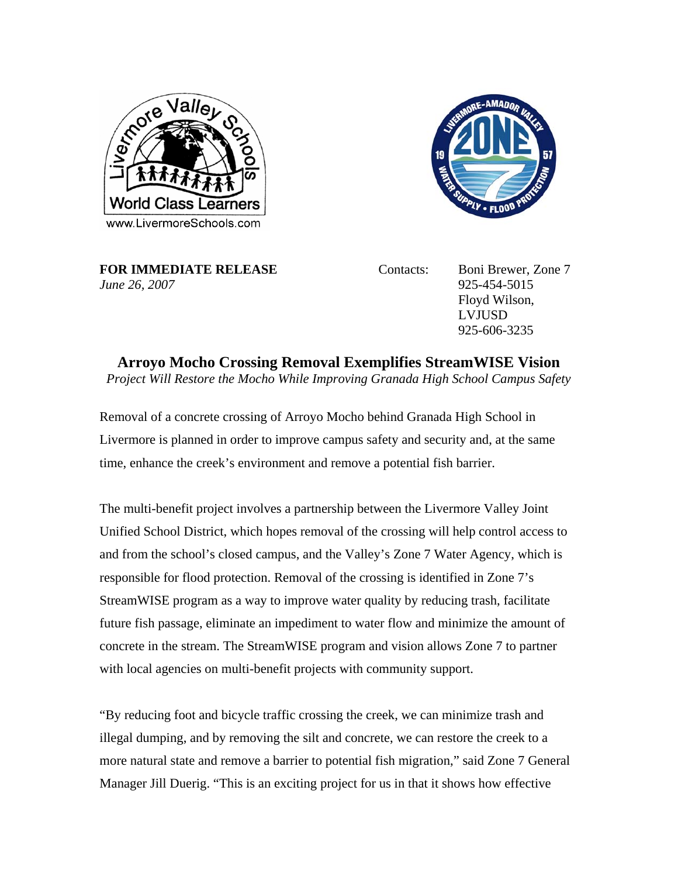



**FOR IMMEDIATE RELEASE** Contacts: Boni Brewer, Zone 7 *June 26, 2007* 925-454-5015

Floyd Wilson, LVJUSD 925-606-3235

**Arroyo Mocho Crossing Removal Exemplifies StreamWISE Vision**  *Project Will Restore the Mocho While Improving Granada High School Campus Safety* 

Removal of a concrete crossing of Arroyo Mocho behind Granada High School in Livermore is planned in order to improve campus safety and security and, at the same time, enhance the creek's environment and remove a potential fish barrier.

The multi-benefit project involves a partnership between the Livermore Valley Joint Unified School District, which hopes removal of the crossing will help control access to and from the school's closed campus, and the Valley's Zone 7 Water Agency, which is responsible for flood protection. Removal of the crossing is identified in Zone 7's StreamWISE program as a way to improve water quality by reducing trash, facilitate future fish passage, eliminate an impediment to water flow and minimize the amount of concrete in the stream. The StreamWISE program and vision allows Zone 7 to partner with local agencies on multi-benefit projects with community support.

"By reducing foot and bicycle traffic crossing the creek, we can minimize trash and illegal dumping, and by removing the silt and concrete, we can restore the creek to a more natural state and remove a barrier to potential fish migration," said Zone 7 General Manager Jill Duerig. "This is an exciting project for us in that it shows how effective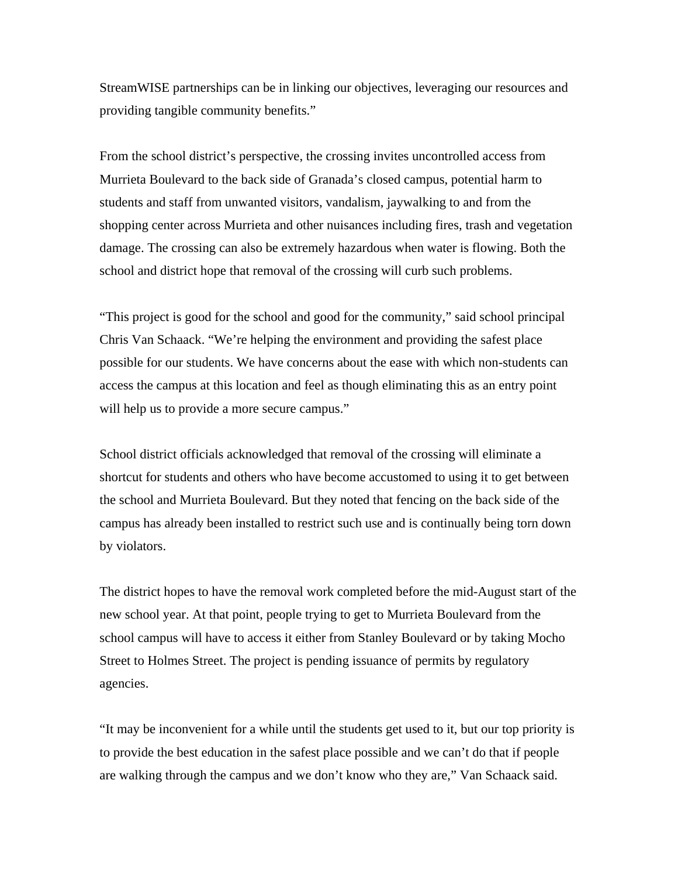StreamWISE partnerships can be in linking our objectives, leveraging our resources and providing tangible community benefits."

From the school district's perspective, the crossing invites uncontrolled access from Murrieta Boulevard to the back side of Granada's closed campus, potential harm to students and staff from unwanted visitors, vandalism, jaywalking to and from the shopping center across Murrieta and other nuisances including fires, trash and vegetation damage. The crossing can also be extremely hazardous when water is flowing. Both the school and district hope that removal of the crossing will curb such problems.

"This project is good for the school and good for the community," said school principal Chris Van Schaack. "We're helping the environment and providing the safest place possible for our students. We have concerns about the ease with which non-students can access the campus at this location and feel as though eliminating this as an entry point will help us to provide a more secure campus."

School district officials acknowledged that removal of the crossing will eliminate a shortcut for students and others who have become accustomed to using it to get between the school and Murrieta Boulevard. But they noted that fencing on the back side of the campus has already been installed to restrict such use and is continually being torn down by violators.

The district hopes to have the removal work completed before the mid-August start of the new school year. At that point, people trying to get to Murrieta Boulevard from the school campus will have to access it either from Stanley Boulevard or by taking Mocho Street to Holmes Street. The project is pending issuance of permits by regulatory agencies.

"It may be inconvenient for a while until the students get used to it, but our top priority is to provide the best education in the safest place possible and we can't do that if people are walking through the campus and we don't know who they are," Van Schaack said.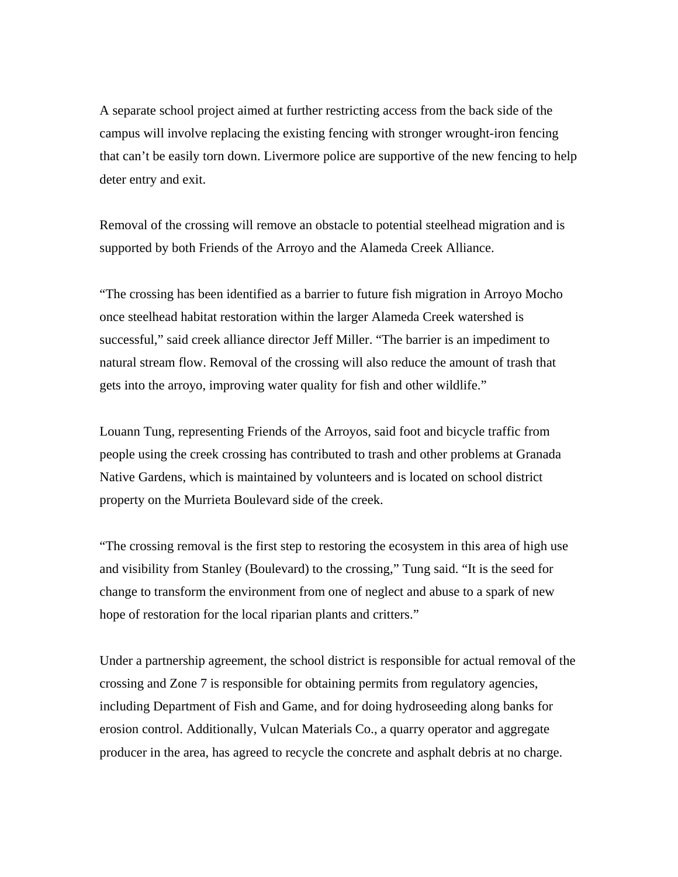A separate school project aimed at further restricting access from the back side of the campus will involve replacing the existing fencing with stronger wrought-iron fencing that can't be easily torn down. Livermore police are supportive of the new fencing to help deter entry and exit.

Removal of the crossing will remove an obstacle to potential steelhead migration and is supported by both Friends of the Arroyo and the Alameda Creek Alliance.

"The crossing has been identified as a barrier to future fish migration in Arroyo Mocho once steelhead habitat restoration within the larger Alameda Creek watershed is successful," said creek alliance director Jeff Miller. "The barrier is an impediment to natural stream flow. Removal of the crossing will also reduce the amount of trash that gets into the arroyo, improving water quality for fish and other wildlife."

Louann Tung, representing Friends of the Arroyos, said foot and bicycle traffic from people using the creek crossing has contributed to trash and other problems at Granada Native Gardens, which is maintained by volunteers and is located on school district property on the Murrieta Boulevard side of the creek.

"The crossing removal is the first step to restoring the ecosystem in this area of high use and visibility from Stanley (Boulevard) to the crossing," Tung said. "It is the seed for change to transform the environment from one of neglect and abuse to a spark of new hope of restoration for the local riparian plants and critters."

Under a partnership agreement, the school district is responsible for actual removal of the crossing and Zone 7 is responsible for obtaining permits from regulatory agencies, including Department of Fish and Game, and for doing hydroseeding along banks for erosion control. Additionally, Vulcan Materials Co., a quarry operator and aggregate producer in the area, has agreed to recycle the concrete and asphalt debris at no charge.